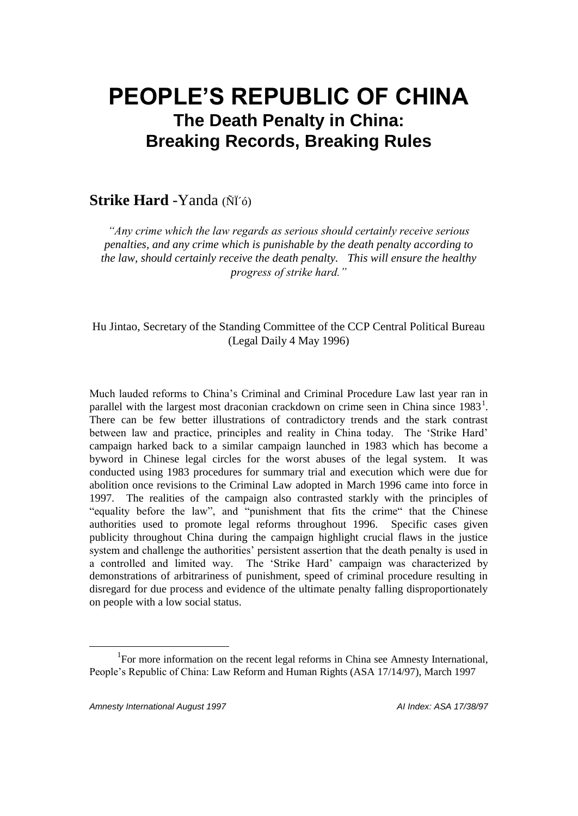# **PEOPLE'S REPUBLIC OF CHINA The Death Penalty in China: Breaking Records, Breaking Rules**

## **Strike Hard** -Yanda (ÑÏ´ó)

*"Any crime which the law regards as serious should certainly receive serious penalties, and any crime which is punishable by the death penalty according to the law, should certainly receive the death penalty. This will ensure the healthy progress of strike hard."*

Hu Jintao, Secretary of the Standing Committee of the CCP Central Political Bureau (Legal Daily 4 May 1996)

Much lauded reforms to China's Criminal and Criminal Procedure Law last year ran in parallel with the largest most draconian crackdown on crime seen in China since  $1983<sup>1</sup>$ . There can be few better illustrations of contradictory trends and the stark contrast between law and practice, principles and reality in China today. The 'Strike Hard' campaign harked back to a similar campaign launched in 1983 which has become a byword in Chinese legal circles for the worst abuses of the legal system. It was conducted using 1983 procedures for summary trial and execution which were due for abolition once revisions to the Criminal Law adopted in March 1996 came into force in 1997. The realities of the campaign also contrasted starkly with the principles of "equality before the law", and "punishment that fits the crime" that the Chinese authorities used to promote legal reforms throughout 1996. Specific cases given publicity throughout China during the campaign highlight crucial flaws in the justice system and challenge the authorities' persistent assertion that the death penalty is used in a controlled and limited way. The 'Strike Hard' campaign was characterized by demonstrations of arbitrariness of punishment, speed of criminal procedure resulting in disregard for due process and evidence of the ultimate penalty falling disproportionately on people with a low social status.

<sup>&</sup>lt;sup>1</sup>For more information on the recent legal reforms in China see Amnesty International, People's Republic of China: Law Reform and Human Rights (ASA 17/14/97), March 1997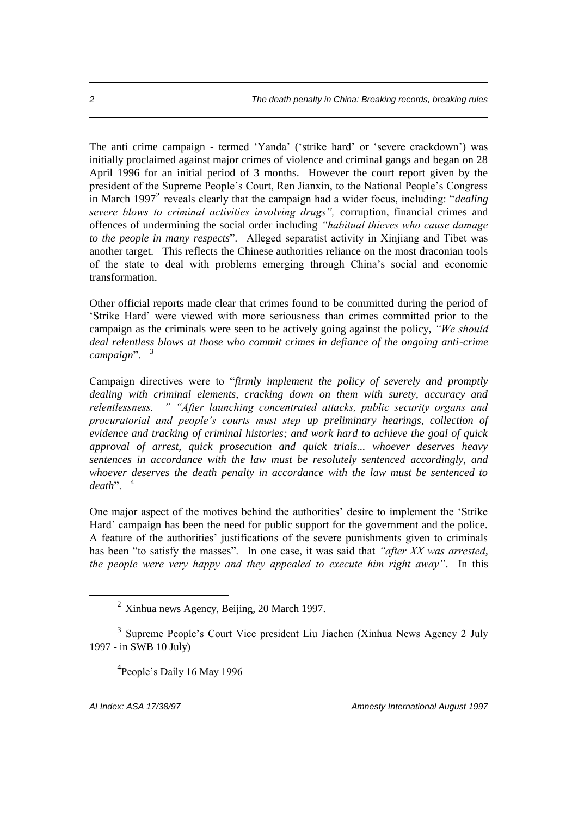The anti crime campaign - termed 'Yanda' ('strike hard' or 'severe crackdown') was initially proclaimed against major crimes of violence and criminal gangs and began on 28 April 1996 for an initial period of 3 months. However the court report given by the president of the Supreme People's Court, Ren Jianxin, to the National People's Congress in March 1997<sup>2</sup> reveals clearly that the campaign had a wider focus, including: "*dealing severe blows to criminal activities involving drugs",* corruption, financial crimes and offences of undermining the social order including *"habitual thieves who cause damage to the people in many respects*". Alleged separatist activity in Xinjiang and Tibet was another target. This reflects the Chinese authorities reliance on the most draconian tools of the state to deal with problems emerging through China's social and economic transformation.

Other official reports made clear that crimes found to be committed during the period of 'Strike Hard' were viewed with more seriousness than crimes committed prior to the campaign as the criminals were seen to be actively going against the policy, *"We should deal relentless blows at those who commit crimes in defiance of the ongoing anti-crime campaign*". <sup>3</sup>

Campaign directives were to "*firmly implement the policy of severely and promptly dealing with criminal elements, cracking down on them with surety, accuracy and relentlessness. " "After launching concentrated attacks, public security organs and procuratorial and people's courts must step up preliminary hearings, collection of evidence and tracking of criminal histories; and work hard to achieve the goal of quick approval of arrest, quick prosecution and quick trials... whoever deserves heavy sentences in accordance with the law must be resolutely sentenced accordingly, and whoever deserves the death penalty in accordance with the law must be sentenced to death*". <sup>4</sup>

One major aspect of the motives behind the authorities' desire to implement the 'Strike Hard' campaign has been the need for public support for the government and the police. A feature of the authorities' justifications of the severe punishments given to criminals has been "to satisfy the masses". In one case, it was said that *"after XX was arrested, the people were very happy and they appealed to execute him right away"*. In this

<sup>4</sup>People's Daily 16 May 1996

 $2 \times$ Xinhua news Agency, Beijing, 20 March 1997.

<sup>&</sup>lt;sup>3</sup> Supreme People's Court Vice president Liu Jiachen (Xinhua News Agency 2 July 1997 - in SWB 10 July)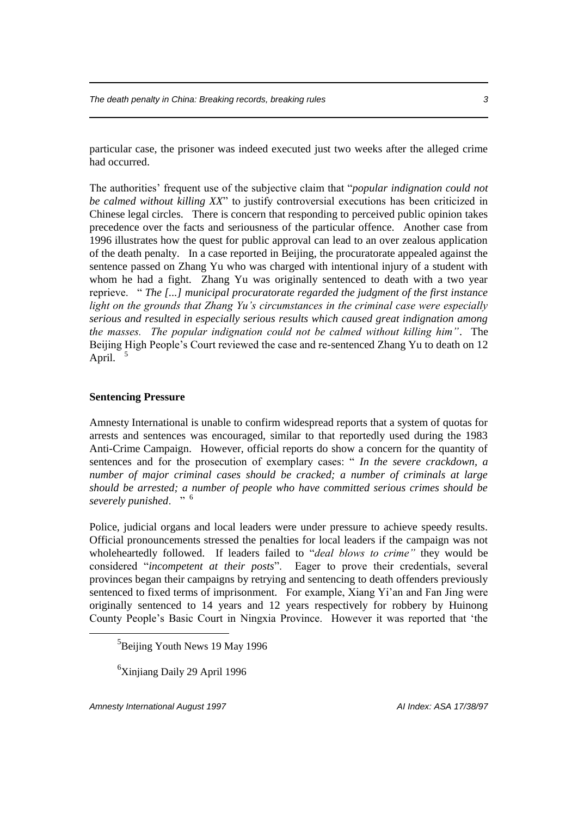*The death penalty in China: Breaking records, breaking rules 3*

particular case, the prisoner was indeed executed just two weeks after the alleged crime had occurred.

The authorities' frequent use of the subjective claim that "*popular indignation could not be calmed without killing XX*" to justify controversial executions has been criticized in Chinese legal circles. There is concern that responding to perceived public opinion takes precedence over the facts and seriousness of the particular offence. Another case from 1996 illustrates how the quest for public approval can lead to an over zealous application of the death penalty. In a case reported in Beijing, the procuratorate appealed against the sentence passed on Zhang Yu who was charged with intentional injury of a student with whom he had a fight. Zhang Yu was originally sentenced to death with a two year reprieve. " *The [...] municipal procuratorate regarded the judgment of the first instance light on the grounds that Zhang Yu's circumstances in the criminal case were especially serious and resulted in especially serious results which caused great indignation among the masses. The popular indignation could not be calmed without killing him"*. The Beijing High People's Court reviewed the case and re-sentenced Zhang Yu to death on 12 April. <sup>5</sup>

#### **Sentencing Pressure**

Amnesty International is unable to confirm widespread reports that a system of quotas for arrests and sentences was encouraged, similar to that reportedly used during the 1983 Anti-Crime Campaign. However, official reports do show a concern for the quantity of sentences and for the prosecution of exemplary cases: " *In the severe crackdown, a number of major criminal cases should be cracked; a number of criminals at large should be arrested; a number of people who have committed serious crimes should be severely punished*. " <sup>6</sup>

Police, judicial organs and local leaders were under pressure to achieve speedy results. Official pronouncements stressed the penalties for local leaders if the campaign was not wholeheartedly followed. If leaders failed to "*deal blows to crime"* they would be considered "*incompetent at their posts*". Eager to prove their credentials, several provinces began their campaigns by retrying and sentencing to death offenders previously sentenced to fixed terms of imprisonment. For example, Xiang Yi'an and Fan Jing were originally sentenced to 14 years and 12 years respectively for robbery by Huinong County People's Basic Court in Ningxia Province. However it was reported that 'the

<sup>6</sup>Xinjiang Daily 29 April 1996

*Amnesty International August 1997 AI Index: ASA 17/38/97*

<sup>&</sup>lt;sup>5</sup>Beijing Youth News 19 May 1996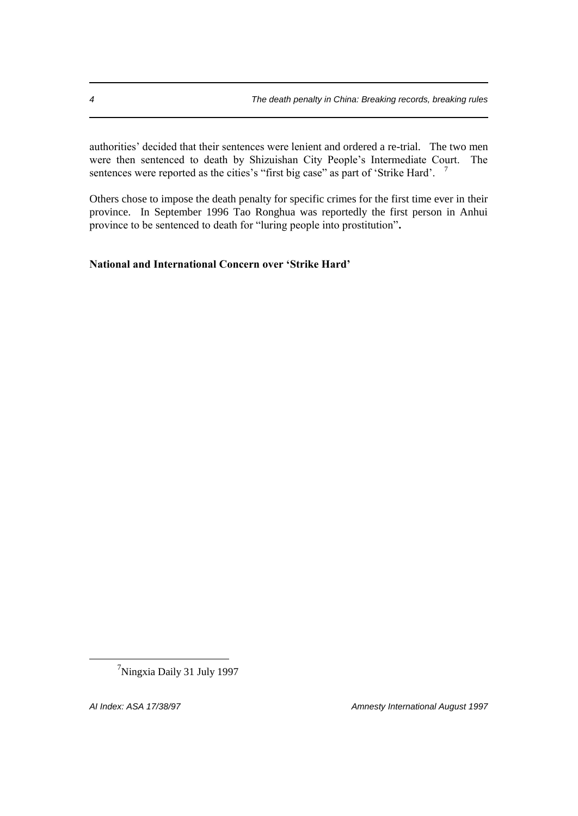authorities' decided that their sentences were lenient and ordered a re-trial. The two men were then sentenced to death by Shizuishan City People's Intermediate Court. The sentences were reported as the cities's "first big case" as part of 'Strike Hard'. <sup>7</sup>

Others chose to impose the death penalty for specific crimes for the first time ever in their province. In September 1996 Tao Ronghua was reportedly the first person in Anhui province to be sentenced to death for "luring people into prostitution"**.** 

#### **National and International Concern over 'Strike Hard'**

<sup>7</sup>Ningxia Daily 31 July 1997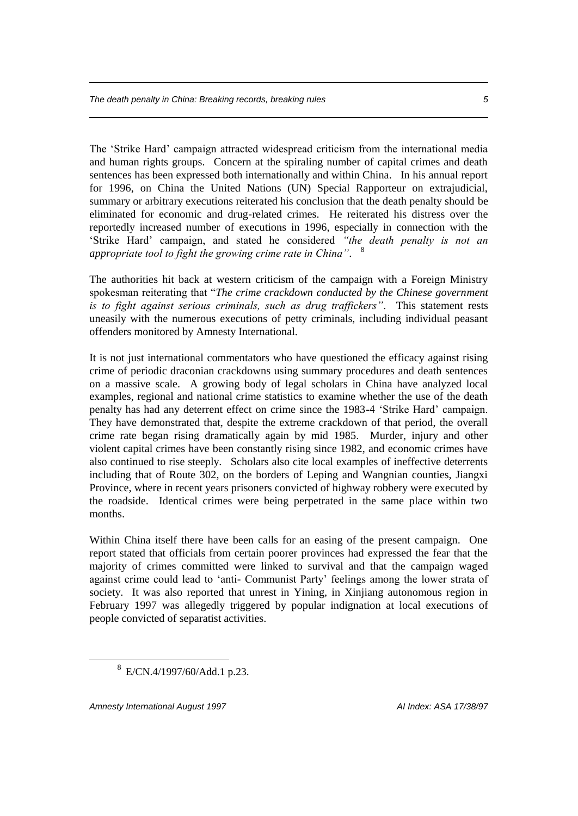The 'Strike Hard' campaign attracted widespread criticism from the international media and human rights groups. Concern at the spiraling number of capital crimes and death sentences has been expressed both internationally and within China. In his annual report for 1996, on China the United Nations (UN) Special Rapporteur on extrajudicial, summary or arbitrary executions reiterated his conclusion that the death penalty should be eliminated for economic and drug-related crimes. He reiterated his distress over the reportedly increased number of executions in 1996, especially in connection with the 'Strike Hard' campaign, and stated he considered *"the death penalty is not an appropriate tool to fight the growing crime rate in China"*. 8

The authorities hit back at western criticism of the campaign with a Foreign Ministry spokesman reiterating that "*The crime crackdown conducted by the Chinese government is to fight against serious criminals, such as drug traffickers"*. This statement rests uneasily with the numerous executions of petty criminals, including individual peasant offenders monitored by Amnesty International.

It is not just international commentators who have questioned the efficacy against rising crime of periodic draconian crackdowns using summary procedures and death sentences on a massive scale. A growing body of legal scholars in China have analyzed local examples, regional and national crime statistics to examine whether the use of the death penalty has had any deterrent effect on crime since the 1983-4 'Strike Hard' campaign. They have demonstrated that, despite the extreme crackdown of that period, the overall crime rate began rising dramatically again by mid 1985. Murder, injury and other violent capital crimes have been constantly rising since 1982, and economic crimes have also continued to rise steeply. Scholars also cite local examples of ineffective deterrents including that of Route 302, on the borders of Leping and Wangnian counties, Jiangxi Province, where in recent years prisoners convicted of highway robbery were executed by the roadside. Identical crimes were being perpetrated in the same place within two months.

Within China itself there have been calls for an easing of the present campaign. One report stated that officials from certain poorer provinces had expressed the fear that the majority of crimes committed were linked to survival and that the campaign waged against crime could lead to 'anti- Communist Party' feelings among the lower strata of society. It was also reported that unrest in Yining, in Xinjiang autonomous region in February 1997 was allegedly triggered by popular indignation at local executions of people convicted of separatist activities.

*Amnesty International August 1997 AI Index: ASA 17/38/97*

<sup>8</sup> E/CN.4/1997/60/Add.1 p.23.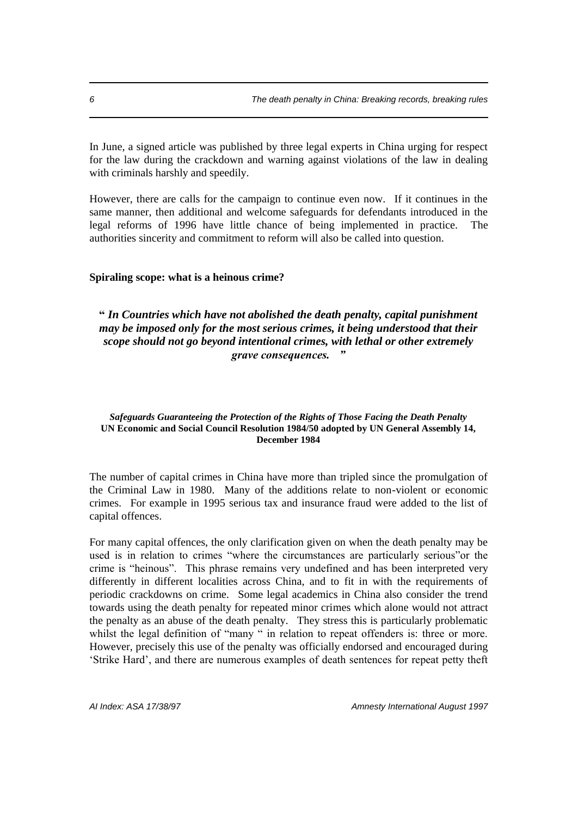In June, a signed article was published by three legal experts in China urging for respect for the law during the crackdown and warning against violations of the law in dealing with criminals harshly and speedily.

However, there are calls for the campaign to continue even now. If it continues in the same manner, then additional and welcome safeguards for defendants introduced in the legal reforms of 1996 have little chance of being implemented in practice. The authorities sincerity and commitment to reform will also be called into question.

#### **Spiraling scope: what is a heinous crime?**

### **"** *In Countries which have not abolished the death penalty, capital punishment may be imposed only for the most serious crimes, it being understood that their scope should not go beyond intentional crimes, with lethal or other extremely grave consequences. "*

#### *Safeguards Guaranteeing the Protection of the Rights of Those Facing the Death Penalty* **UN Economic and Social Council Resolution 1984/50 adopted by UN General Assembly 14, December 1984**

The number of capital crimes in China have more than tripled since the promulgation of the Criminal Law in 1980. Many of the additions relate to non-violent or economic crimes. For example in 1995 serious tax and insurance fraud were added to the list of capital offences.

For many capital offences, the only clarification given on when the death penalty may be used is in relation to crimes "where the circumstances are particularly serious"or the crime is "heinous". This phrase remains very undefined and has been interpreted very differently in different localities across China, and to fit in with the requirements of periodic crackdowns on crime. Some legal academics in China also consider the trend towards using the death penalty for repeated minor crimes which alone would not attract the penalty as an abuse of the death penalty. They stress this is particularly problematic whilst the legal definition of "many " in relation to repeat offenders is: three or more. However, precisely this use of the penalty was officially endorsed and encouraged during 'Strike Hard', and there are numerous examples of death sentences for repeat petty theft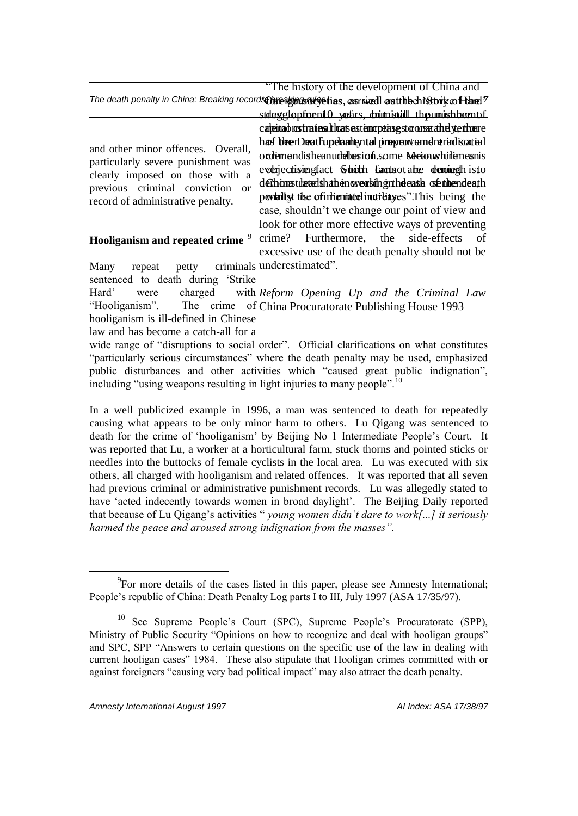"The history of the development of China and

The death penalty in China: Breaking records the agency of thes, carried and the chistory of the ?

and other minor offences. Overall, particularly severe punishment was clearly imposed on those with a previous criminal conviction or record of administrative penalty.

# **Hooliganism and repeated crime** <sup>9</sup>

stdegglepfoent O years, doimt istill the numish bean of cateinad restrates that sestemapting sto onset and yethere has bleen Death updamit yntol pre prevent and netrind is cateal order mandishe anuder besion.some Meanwhile meanis ever jectising fact Schich facts ot a be denoined his to defhionstilated sha hen ovearlish ginthe easible senthendeath penlait is the of internated incredingles". This being the case, shouldn't we change our point of view and look for other more effective ways of preventing crime? Furthermore, the side-effects of

Many repeat petty criminals underestimated". excessive use of the death penalty should not be

sentenced to death during 'Strike

Hard' were charged "Hooliganism". The crime of China Procuratorate Publishing House 1993 hooliganism is ill-defined in Chinese *Reform Opening Up and the Criminal Law*

law and has become a catch-all for a

wide range of "disruptions to social order". Official clarifications on what constitutes "particularly serious circumstances" where the death penalty may be used, emphasized public disturbances and other activities which "caused great public indignation", including "using weapons resulting in light injuries to many people".<sup>10</sup>

In a well publicized example in 1996, a man was sentenced to death for repeatedly causing what appears to be only minor harm to others. Lu Qigang was sentenced to death for the crime of 'hooliganism' by Beijing No 1 Intermediate People's Court. It was reported that Lu, a worker at a horticultural farm, stuck thorns and pointed sticks or needles into the buttocks of female cyclists in the local area. Lu was executed with six others, all charged with hooliganism and related offences. It was reported that all seven had previous criminal or administrative punishment records. Lu was allegedly stated to have 'acted indecently towards women in broad daylight'. The Beijing Daily reported that because of Lu Qigang's activities " *young women didn't dare to work[...] it seriously harmed the peace and aroused strong indignation from the masses".*

 $^{9}$ For more details of the cases listed in this paper, please see Amnesty International; People's republic of China: Death Penalty Log parts I to III, July 1997 (ASA 17/35/97).

<sup>10</sup> See Supreme People's Court (SPC), Supreme People's Procuratorate (SPP), Ministry of Public Security "Opinions on how to recognize and deal with hooligan groups" and SPC, SPP "Answers to certain questions on the specific use of the law in dealing with current hooligan cases" 1984. These also stipulate that Hooligan crimes committed with or against foreigners "causing very bad political impact" may also attract the death penalty.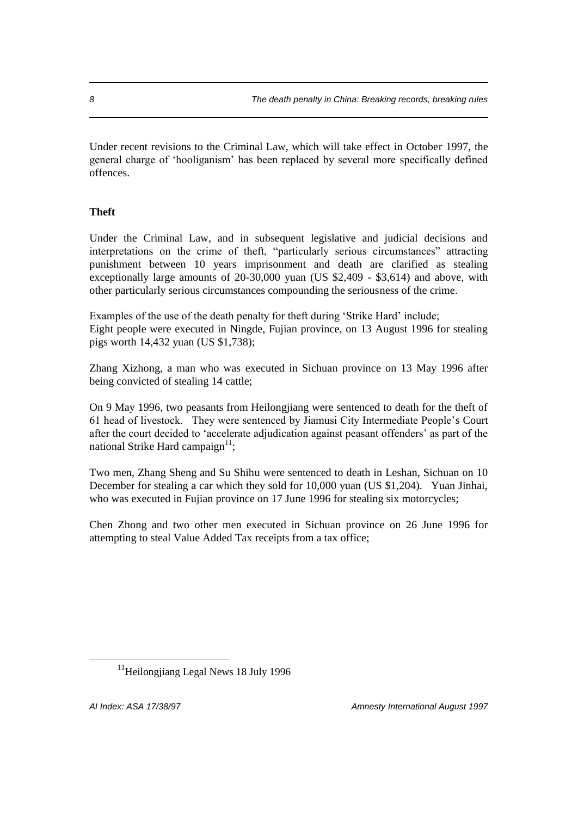Under recent revisions to the Criminal Law, which will take effect in October 1997, the general charge of 'hooliganism' has been replaced by several more specifically defined offences.

## **Theft**

Under the Criminal Law, and in subsequent legislative and judicial decisions and interpretations on the crime of theft, "particularly serious circumstances" attracting punishment between 10 years imprisonment and death are clarified as stealing exceptionally large amounts of 20-30,000 yuan (US \$2,409 - \$3,614) and above, with other particularly serious circumstances compounding the seriousness of the crime.

Examples of the use of the death penalty for theft during 'Strike Hard' include; Eight people were executed in Ningde, Fujian province, on 13 August 1996 for stealing pigs worth 14,432 yuan (US \$1,738);

Zhang Xizhong, a man who was executed in Sichuan province on 13 May 1996 after being convicted of stealing 14 cattle;

On 9 May 1996, two peasants from Heilongjiang were sentenced to death for the theft of 61 head of livestock. They were sentenced by Jiamusi City Intermediate People's Court after the court decided to 'accelerate adjudication against peasant offenders' as part of the national Strike Hard campaign $11$ ;

Two men, Zhang Sheng and Su Shihu were sentenced to death in Leshan, Sichuan on 10 December for stealing a car which they sold for 10,000 yuan (US \$1,204). Yuan Jinhai, who was executed in Fujian province on 17 June 1996 for stealing six motorcycles;

Chen Zhong and two other men executed in Sichuan province on 26 June 1996 for attempting to steal Value Added Tax receipts from a tax office;

 $\overline{a}$ 

*AI Index: ASA 17/38/97 Amnesty International August 1997*

<sup>&</sup>lt;sup>11</sup>Heilongjiang Legal News 18 July 1996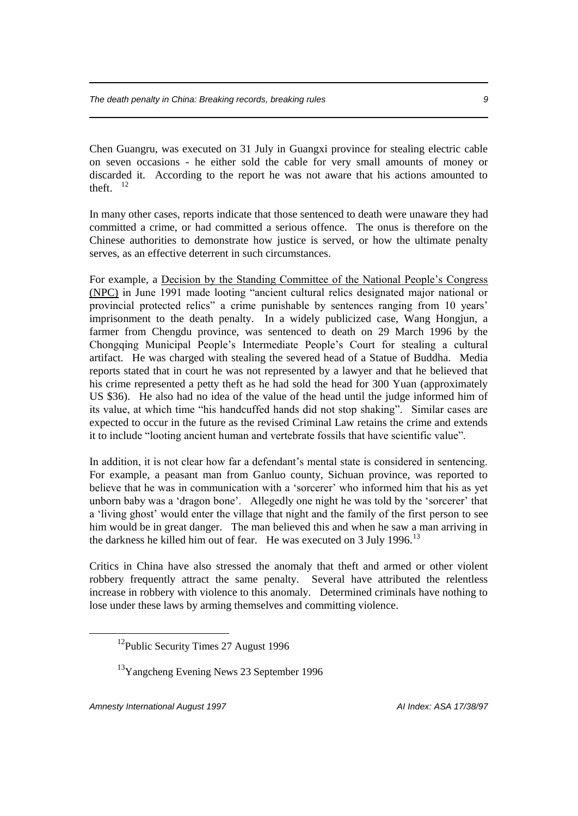Chen Guangru, was executed on 31 July in Guangxi province for stealing electric cable on seven occasions - he either sold the cable for very small amounts of money or discarded it. According to the report he was not aware that his actions amounted to theft.  $12$ 

In many other cases, reports indicate that those sentenced to death were unaware they had committed a crime, or had committed a serious offence. The onus is therefore on the Chinese authorities to demonstrate how justice is served, or how the ultimate penalty serves, as an effective deterrent in such circumstances.

For example, a Decision by the Standing Committee of the National People's Congress (NPC) in June 1991 made looting "ancient cultural relics designated major national or provincial protected relics" a crime punishable by sentences ranging from 10 years' imprisonment to the death penalty. In a widely publicized case, Wang Hongjun, a farmer from Chengdu province, was sentenced to death on 29 March 1996 by the Chongqing Municipal People's Intermediate People's Court for stealing a cultural artifact. He was charged with stealing the severed head of a Statue of Buddha. Media reports stated that in court he was not represented by a lawyer and that he believed that his crime represented a petty theft as he had sold the head for 300 Yuan (approximately US \$36). He also had no idea of the value of the head until the judge informed him of its value, at which time "his handcuffed hands did not stop shaking". Similar cases are expected to occur in the future as the revised Criminal Law retains the crime and extends it to include "looting ancient human and vertebrate fossils that have scientific value".

In addition, it is not clear how far a defendant's mental state is considered in sentencing. For example, a peasant man from Ganluo county, Sichuan province, was reported to believe that he was in communication with a 'sorcerer' who informed him that his as yet unborn baby was a 'dragon bone'. Allegedly one night he was told by the 'sorcerer' that a 'living ghost' would enter the village that night and the family of the first person to see him would be in great danger. The man believed this and when he saw a man arriving in the darkness he killed him out of fear. He was executed on 3 July 1996.<sup>13</sup>

Critics in China have also stressed the anomaly that theft and armed or other violent robbery frequently attract the same penalty. Several have attributed the relentless increase in robbery with violence to this anomaly. Determined criminals have nothing to lose under these laws by arming themselves and committing violence.

*Amnesty International August 1997 AI Index: ASA 17/38/97*

 $12$ Public Security Times 27 August 1996

<sup>&</sup>lt;sup>13</sup>Yangcheng Evening News 23 September 1996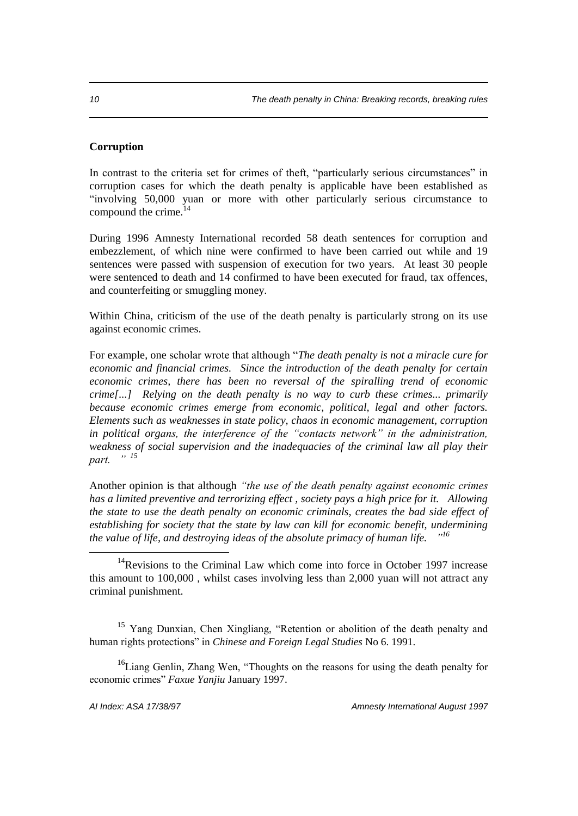#### **Corruption**

In contrast to the criteria set for crimes of theft, "particularly serious circumstances" in corruption cases for which the death penalty is applicable have been established as "involving 50,000 yuan or more with other particularly serious circumstance to compound the crime.<sup>14</sup>

During 1996 Amnesty International recorded 58 death sentences for corruption and embezzlement, of which nine were confirmed to have been carried out while and 19 sentences were passed with suspension of execution for two years. At least 30 people were sentenced to death and 14 confirmed to have been executed for fraud, tax offences, and counterfeiting or smuggling money.

Within China, criticism of the use of the death penalty is particularly strong on its use against economic crimes.

For example, one scholar wrote that although "*The death penalty is not a miracle cure for economic and financial crimes. Since the introduction of the death penalty for certain economic crimes, there has been no reversal of the spiralling trend of economic crime[...] Relying on the death penalty is no way to curb these crimes... primarily because economic crimes emerge from economic, political, legal and other factors. Elements such as weaknesses in state policy, chaos in economic management, corruption in political organs, the interference of the "contacts network" in the administration, weakness of social supervision and the inadequacies of the criminal law all play their*   $part.$ 

Another opinion is that although *"the use of the death penalty against economic crimes has a limited preventive and terrorizing effect , society pays a high price for it. Allowing the state to use the death penalty on economic criminals, creates the bad side effect of establishing for society that the state by law can kill for economic benefit, undermining the value of life, and destroying ideas of the absolute primacy of human life. " 16*

<sup>16</sup>Liang Genlin, Zhang Wen, "Thoughts on the reasons for using the death penalty for economic crimes" *Faxue Yanjiu* January 1997.

 $14$ Revisions to the Criminal Law which come into force in October 1997 increase this amount to 100,000 , whilst cases involving less than 2,000 yuan will not attract any criminal punishment.

<sup>&</sup>lt;sup>15</sup> Yang Dunxian, Chen Xingliang, "Retention or abolition of the death penalty and human rights protections" in *Chinese and Foreign Legal Studies* No 6. 1991.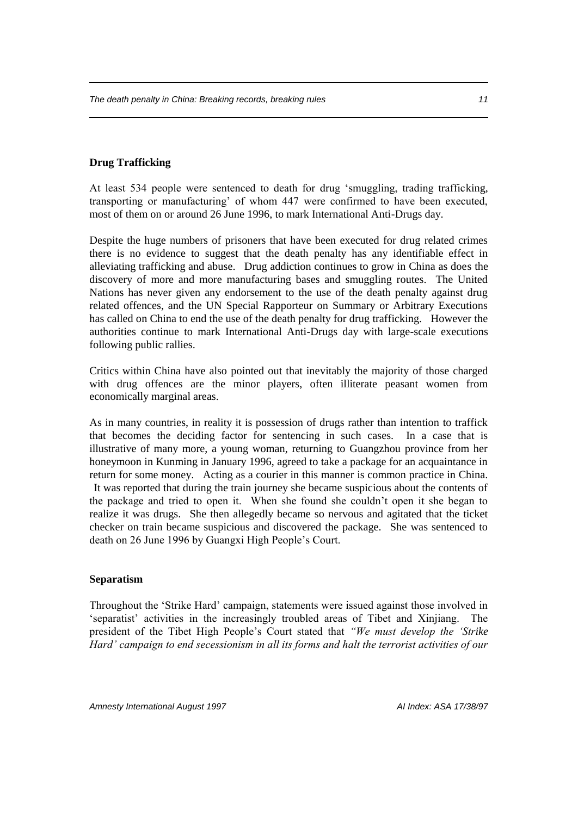#### **Drug Trafficking**

At least 534 people were sentenced to death for drug 'smuggling, trading trafficking, transporting or manufacturing' of whom 447 were confirmed to have been executed, most of them on or around 26 June 1996, to mark International Anti-Drugs day.

Despite the huge numbers of prisoners that have been executed for drug related crimes there is no evidence to suggest that the death penalty has any identifiable effect in alleviating trafficking and abuse. Drug addiction continues to grow in China as does the discovery of more and more manufacturing bases and smuggling routes. The United Nations has never given any endorsement to the use of the death penalty against drug related offences, and the UN Special Rapporteur on Summary or Arbitrary Executions has called on China to end the use of the death penalty for drug trafficking. However the authorities continue to mark International Anti-Drugs day with large-scale executions following public rallies.

Critics within China have also pointed out that inevitably the majority of those charged with drug offences are the minor players, often illiterate peasant women from economically marginal areas.

As in many countries, in reality it is possession of drugs rather than intention to traffick that becomes the deciding factor for sentencing in such cases. In a case that is illustrative of many more, a young woman, returning to Guangzhou province from her honeymoon in Kunming in January 1996, agreed to take a package for an acquaintance in return for some money. Acting as a courier in this manner is common practice in China. It was reported that during the train journey she became suspicious about the contents of the package and tried to open it. When she found she couldn't open it she began to realize it was drugs. She then allegedly became so nervous and agitated that the ticket checker on train became suspicious and discovered the package. She was sentenced to death on 26 June 1996 by Guangxi High People's Court.

#### **Separatism**

Throughout the 'Strike Hard' campaign, statements were issued against those involved in 'separatist' activities in the increasingly troubled areas of Tibet and Xinjiang. The president of the Tibet High People's Court stated that *"We must develop the 'Strike Hard' campaign to end secessionism in all its forms and halt the terrorist activities of our*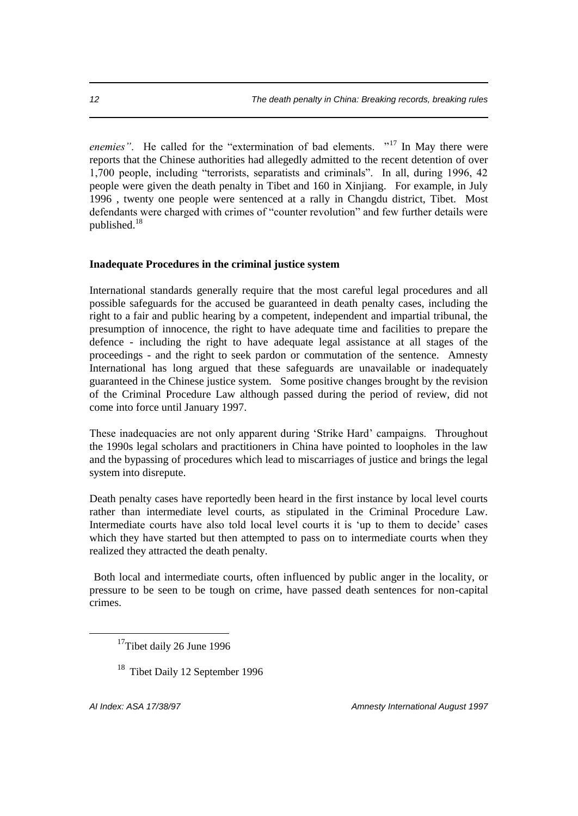*enemies*". He called for the "extermination of bad elements. "<sup>17</sup> In May there were reports that the Chinese authorities had allegedly admitted to the recent detention of over 1,700 people, including "terrorists, separatists and criminals". In all, during 1996, 42 people were given the death penalty in Tibet and 160 in Xinjiang. For example, in July 1996 , twenty one people were sentenced at a rally in Changdu district, Tibet. Most defendants were charged with crimes of "counter revolution" and few further details were published.<sup>18</sup>

#### **Inadequate Procedures in the criminal justice system**

International standards generally require that the most careful legal procedures and all possible safeguards for the accused be guaranteed in death penalty cases, including the right to a fair and public hearing by a competent, independent and impartial tribunal, the presumption of innocence, the right to have adequate time and facilities to prepare the defence - including the right to have adequate legal assistance at all stages of the proceedings - and the right to seek pardon or commutation of the sentence. Amnesty International has long argued that these safeguards are unavailable or inadequately guaranteed in the Chinese justice system. Some positive changes brought by the revision of the Criminal Procedure Law although passed during the period of review, did not come into force until January 1997.

These inadequacies are not only apparent during 'Strike Hard' campaigns. Throughout the 1990s legal scholars and practitioners in China have pointed to loopholes in the law and the bypassing of procedures which lead to miscarriages of justice and brings the legal system into disrepute.

Death penalty cases have reportedly been heard in the first instance by local level courts rather than intermediate level courts, as stipulated in the Criminal Procedure Law. Intermediate courts have also told local level courts it is 'up to them to decide' cases which they have started but then attempted to pass on to intermediate courts when they realized they attracted the death penalty.

Both local and intermediate courts, often influenced by public anger in the locality, or pressure to be seen to be tough on crime, have passed death sentences for non-capital crimes.

 $\overline{a}$ 

*AI Index: ASA 17/38/97 Amnesty International August 1997*

 $17$ Tibet daily 26 June 1996

<sup>&</sup>lt;sup>18</sup> Tibet Daily 12 September 1996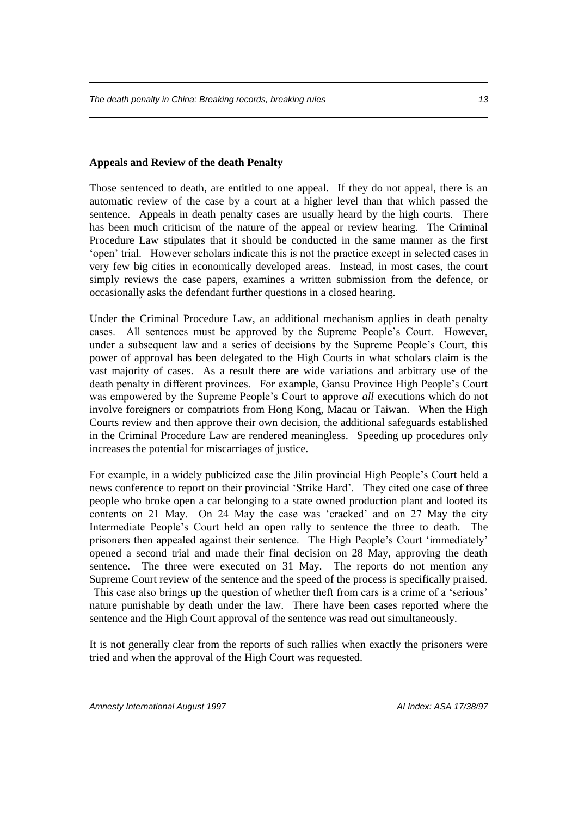#### **Appeals and Review of the death Penalty**

Those sentenced to death, are entitled to one appeal. If they do not appeal, there is an automatic review of the case by a court at a higher level than that which passed the sentence. Appeals in death penalty cases are usually heard by the high courts. There has been much criticism of the nature of the appeal or review hearing. The Criminal Procedure Law stipulates that it should be conducted in the same manner as the first 'open' trial. However scholars indicate this is not the practice except in selected cases in very few big cities in economically developed areas. Instead, in most cases, the court simply reviews the case papers, examines a written submission from the defence, or occasionally asks the defendant further questions in a closed hearing.

Under the Criminal Procedure Law, an additional mechanism applies in death penalty cases. All sentences must be approved by the Supreme People's Court. However, under a subsequent law and a series of decisions by the Supreme People's Court, this power of approval has been delegated to the High Courts in what scholars claim is the vast majority of cases. As a result there are wide variations and arbitrary use of the death penalty in different provinces. For example, Gansu Province High People's Court was empowered by the Supreme People's Court to approve *all* executions which do not involve foreigners or compatriots from Hong Kong, Macau or Taiwan. When the High Courts review and then approve their own decision, the additional safeguards established in the Criminal Procedure Law are rendered meaningless. Speeding up procedures only increases the potential for miscarriages of justice.

For example, in a widely publicized case the Jilin provincial High People's Court held a news conference to report on their provincial 'Strike Hard'. They cited one case of three people who broke open a car belonging to a state owned production plant and looted its contents on 21 May. On 24 May the case was 'cracked' and on 27 May the city Intermediate People's Court held an open rally to sentence the three to death. The prisoners then appealed against their sentence. The High People's Court 'immediately' opened a second trial and made their final decision on 28 May, approving the death sentence. The three were executed on 31 May. The reports do not mention any Supreme Court review of the sentence and the speed of the process is specifically praised. This case also brings up the question of whether theft from cars is a crime of a 'serious' nature punishable by death under the law. There have been cases reported where the sentence and the High Court approval of the sentence was read out simultaneously.

It is not generally clear from the reports of such rallies when exactly the prisoners were tried and when the approval of the High Court was requested.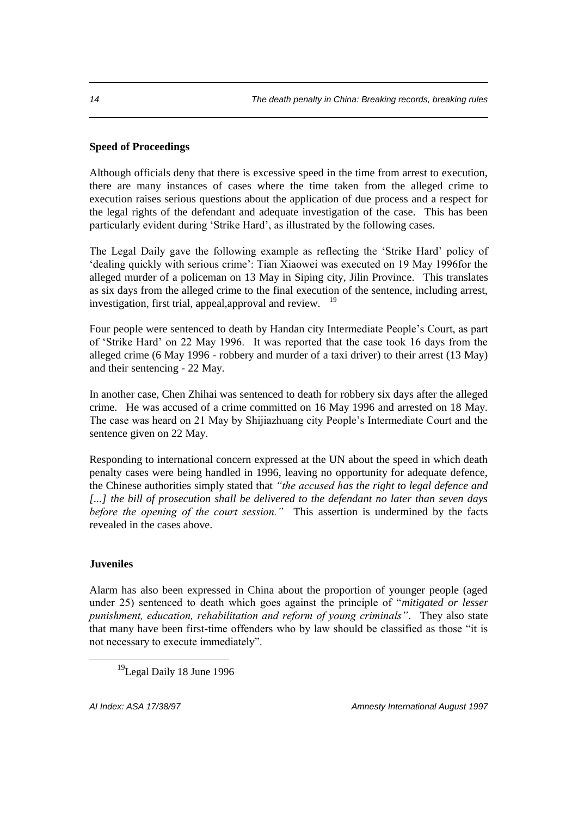#### **Speed of Proceedings**

Although officials deny that there is excessive speed in the time from arrest to execution, there are many instances of cases where the time taken from the alleged crime to execution raises serious questions about the application of due process and a respect for the legal rights of the defendant and adequate investigation of the case. This has been particularly evident during 'Strike Hard', as illustrated by the following cases.

The Legal Daily gave the following example as reflecting the 'Strike Hard' policy of 'dealing quickly with serious crime': Tian Xiaowei was executed on 19 May 1996for the alleged murder of a policeman on 13 May in Siping city, Jilin Province. This translates as six days from the alleged crime to the final execution of the sentence, including arrest, investigation, first trial, appeal, approval and review. <sup>19</sup>

Four people were sentenced to death by Handan city Intermediate People's Court, as part of 'Strike Hard' on 22 May 1996. It was reported that the case took 16 days from the alleged crime (6 May 1996 - robbery and murder of a taxi driver) to their arrest (13 May) and their sentencing - 22 May.

In another case, Chen Zhihai was sentenced to death for robbery six days after the alleged crime. He was accused of a crime committed on 16 May 1996 and arrested on 18 May. The case was heard on 21 May by Shijiazhuang city People's Intermediate Court and the sentence given on 22 May.

Responding to international concern expressed at the UN about the speed in which death penalty cases were being handled in 1996, leaving no opportunity for adequate defence, the Chinese authorities simply stated that *"the accused has the right to legal defence and [...] the bill of prosecution shall be delivered to the defendant no later than seven days before the opening of the court session."* This assertion is undermined by the facts revealed in the cases above.

#### **Juveniles**

 $\overline{a}$ 

Alarm has also been expressed in China about the proportion of younger people (aged under 25) sentenced to death which goes against the principle of "*mitigated or lesser punishment, education, rehabilitation and reform of young criminals"*. They also state that many have been first-time offenders who by law should be classified as those "it is not necessary to execute immediately".

*AI Index: ASA 17/38/97 Amnesty International August 1997*

<sup>&</sup>lt;sup>19</sup>Legal Daily 18 June 1996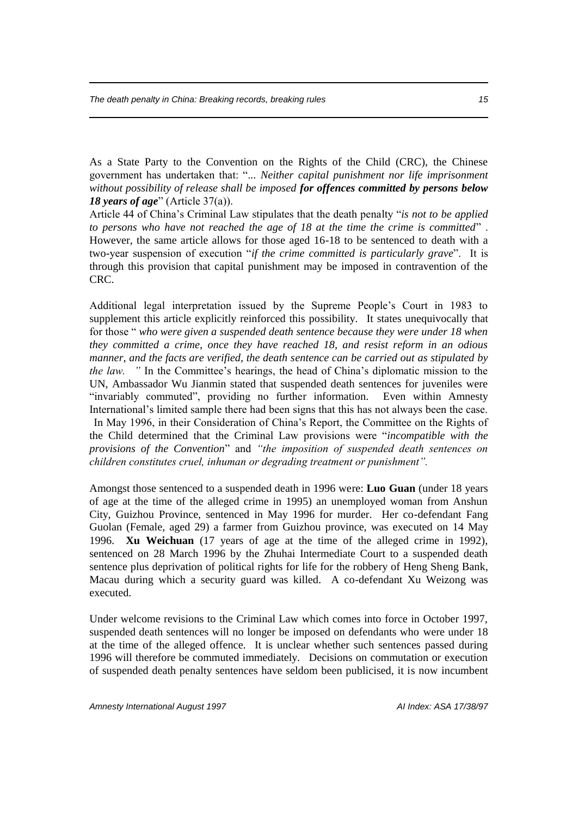As a State Party to the Convention on the Rights of the Child (CRC), the Chinese government has undertaken that: ".*.. Neither capital punishment nor life imprisonment without possibility of release shall be imposed for offences committed by persons below 18 years of age*" (Article 37(a)).

Article 44 of China's Criminal Law stipulates that the death penalty "*is not to be applied to persons who have not reached the age of 18 at the time the crime is committed*" . However, the same article allows for those aged 16-18 to be sentenced to death with a two-year suspension of execution "*if the crime committed is particularly grave*". It is through this provision that capital punishment may be imposed in contravention of the CRC.

Additional legal interpretation issued by the Supreme People's Court in 1983 to supplement this article explicitly reinforced this possibility. It states unequivocally that for those " *who were given a suspended death sentence because they were under 18 when they committed a crime, once they have reached 18, and resist reform in an odious manner, and the facts are verified, the death sentence can be carried out as stipulated by the law.* " In the Committee's hearings, the head of China's diplomatic mission to the UN, Ambassador Wu Jianmin stated that suspended death sentences for juveniles were "invariably commuted", providing no further information. Even within Amnesty International's limited sample there had been signs that this has not always been the case. In May 1996, in their Consideration of China's Report, the Committee on the Rights of the Child determined that the Criminal Law provisions were "*incompatible with the provisions of the Convention*" and *"the imposition of suspended death sentences on children constitutes cruel, inhuman or degrading treatment or punishment".* 

Amongst those sentenced to a suspended death in 1996 were: **Luo Guan** (under 18 years of age at the time of the alleged crime in 1995) an unemployed woman from Anshun City, Guizhou Province, sentenced in May 1996 for murder. Her co-defendant Fang Guolan (Female, aged 29) a farmer from Guizhou province, was executed on 14 May 1996. **Xu Weichuan** (17 years of age at the time of the alleged crime in 1992), sentenced on 28 March 1996 by the Zhuhai Intermediate Court to a suspended death sentence plus deprivation of political rights for life for the robbery of Heng Sheng Bank, Macau during which a security guard was killed. A co-defendant Xu Weizong was executed.

Under welcome revisions to the Criminal Law which comes into force in October 1997, suspended death sentences will no longer be imposed on defendants who were under 18 at the time of the alleged offence. It is unclear whether such sentences passed during 1996 will therefore be commuted immediately. Decisions on commutation or execution of suspended death penalty sentences have seldom been publicised, it is now incumbent

*Amnesty International August 1997 AI Index: ASA 17/38/97*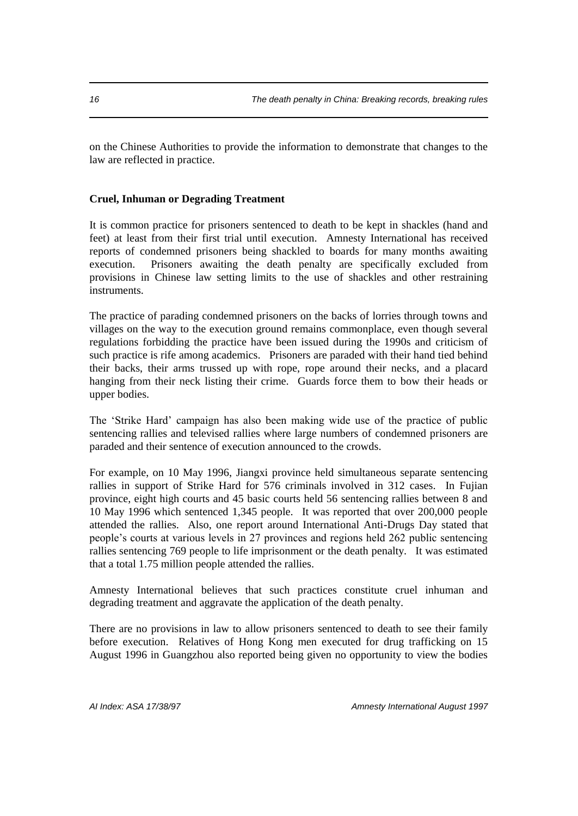on the Chinese Authorities to provide the information to demonstrate that changes to the law are reflected in practice.

#### **Cruel, Inhuman or Degrading Treatment**

It is common practice for prisoners sentenced to death to be kept in shackles (hand and feet) at least from their first trial until execution. Amnesty International has received reports of condemned prisoners being shackled to boards for many months awaiting execution. Prisoners awaiting the death penalty are specifically excluded from provisions in Chinese law setting limits to the use of shackles and other restraining instruments.

The practice of parading condemned prisoners on the backs of lorries through towns and villages on the way to the execution ground remains commonplace, even though several regulations forbidding the practice have been issued during the 1990s and criticism of such practice is rife among academics. Prisoners are paraded with their hand tied behind their backs, their arms trussed up with rope, rope around their necks, and a placard hanging from their neck listing their crime. Guards force them to bow their heads or upper bodies.

The 'Strike Hard' campaign has also been making wide use of the practice of public sentencing rallies and televised rallies where large numbers of condemned prisoners are paraded and their sentence of execution announced to the crowds.

For example, on 10 May 1996, Jiangxi province held simultaneous separate sentencing rallies in support of Strike Hard for 576 criminals involved in 312 cases. In Fujian province, eight high courts and 45 basic courts held 56 sentencing rallies between 8 and 10 May 1996 which sentenced 1,345 people. It was reported that over 200,000 people attended the rallies. Also, one report around International Anti-Drugs Day stated that people's courts at various levels in 27 provinces and regions held 262 public sentencing rallies sentencing 769 people to life imprisonment or the death penalty. It was estimated that a total 1.75 million people attended the rallies.

Amnesty International believes that such practices constitute cruel inhuman and degrading treatment and aggravate the application of the death penalty.

There are no provisions in law to allow prisoners sentenced to death to see their family before execution. Relatives of Hong Kong men executed for drug trafficking on 15 August 1996 in Guangzhou also reported being given no opportunity to view the bodies